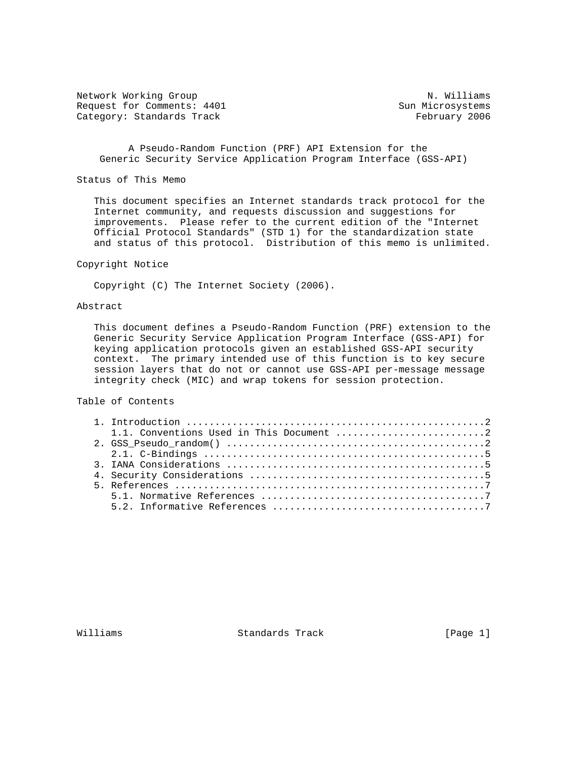Network Working Group Network Working Group N. Williams Request for Comments: 4401 Sun Microsystems Category: Standards Track February 2006

 A Pseudo-Random Function (PRF) API Extension for the Generic Security Service Application Program Interface (GSS-API)

Status of This Memo

 This document specifies an Internet standards track protocol for the Internet community, and requests discussion and suggestions for improvements. Please refer to the current edition of the "Internet Official Protocol Standards" (STD 1) for the standardization state and status of this protocol. Distribution of this memo is unlimited.

Copyright Notice

Copyright (C) The Internet Society (2006).

## Abstract

 This document defines a Pseudo-Random Function (PRF) extension to the Generic Security Service Application Program Interface (GSS-API) for keying application protocols given an established GSS-API security context. The primary intended use of this function is to key secure session layers that do not or cannot use GSS-API per-message message integrity check (MIC) and wrap tokens for session protection.

Table of Contents

Williams Standards Track [Page 1]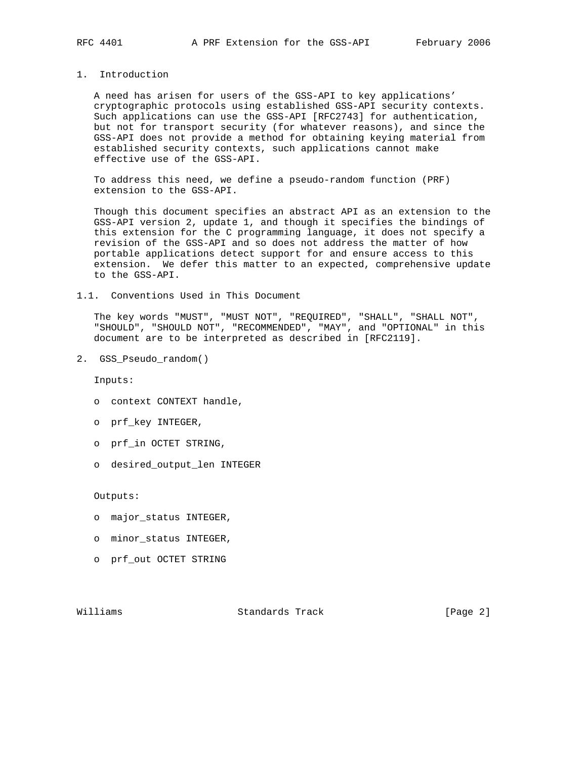## 1. Introduction

 A need has arisen for users of the GSS-API to key applications' cryptographic protocols using established GSS-API security contexts. Such applications can use the GSS-API [RFC2743] for authentication, but not for transport security (for whatever reasons), and since the GSS-API does not provide a method for obtaining keying material from established security contexts, such applications cannot make effective use of the GSS-API.

 To address this need, we define a pseudo-random function (PRF) extension to the GSS-API.

 Though this document specifies an abstract API as an extension to the GSS-API version 2, update 1, and though it specifies the bindings of this extension for the C programming language, it does not specify a revision of the GSS-API and so does not address the matter of how portable applications detect support for and ensure access to this extension. We defer this matter to an expected, comprehensive update to the GSS-API.

1.1. Conventions Used in This Document

 The key words "MUST", "MUST NOT", "REQUIRED", "SHALL", "SHALL NOT", "SHOULD", "SHOULD NOT", "RECOMMENDED", "MAY", and "OPTIONAL" in this document are to be interpreted as described in [RFC2119].

2. GSS\_Pseudo\_random()

Inputs:

- o context CONTEXT handle,
- o prf\_key INTEGER,
- o prf\_in OCTET STRING,
- o desired\_output\_len INTEGER

Outputs:

- o major\_status INTEGER,
- o minor\_status INTEGER,
- o prf\_out OCTET STRING

Williams Standards Track [Page 2]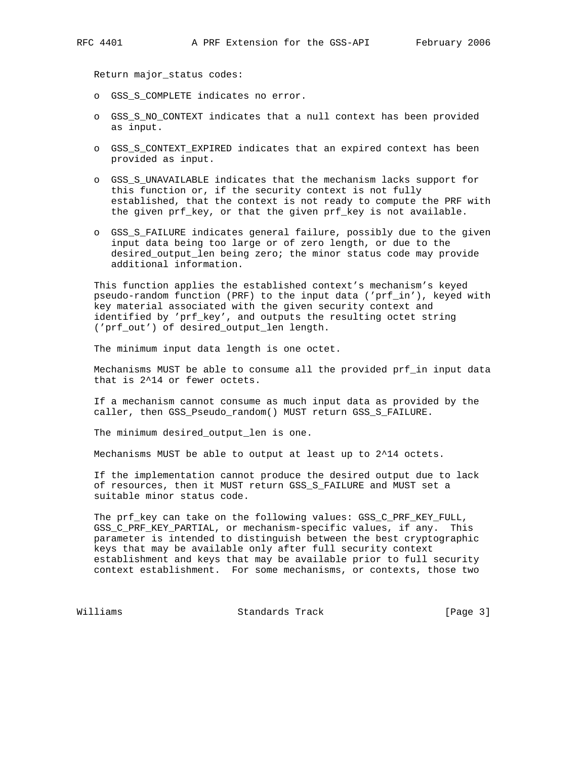Return major\_status codes:

- o GSS\_S\_COMPLETE indicates no error.
- o GSS\_S\_NO\_CONTEXT indicates that a null context has been provided as input.
- o GSS\_S\_CONTEXT\_EXPIRED indicates that an expired context has been provided as input.
- o GSS\_S\_UNAVAILABLE indicates that the mechanism lacks support for this function or, if the security context is not fully established, that the context is not ready to compute the PRF with the given prf\_key, or that the given prf\_key is not available.
- o GSS\_S\_FAILURE indicates general failure, possibly due to the given input data being too large or of zero length, or due to the desired\_output\_len being zero; the minor status code may provide additional information.

 This function applies the established context's mechanism's keyed pseudo-random function (PRF) to the input data ('prf\_in'), keyed with key material associated with the given security context and identified by 'prf\_key', and outputs the resulting octet string ('prf\_out') of desired\_output\_len length.

The minimum input data length is one octet.

 Mechanisms MUST be able to consume all the provided prf\_in input data that is 2^14 or fewer octets.

 If a mechanism cannot consume as much input data as provided by the caller, then GSS\_Pseudo\_random() MUST return GSS\_S\_FAILURE.

The minimum desired\_output\_len is one.

Mechanisms MUST be able to output at least up to 2^14 octets.

 If the implementation cannot produce the desired output due to lack of resources, then it MUST return GSS\_S\_FAILURE and MUST set a suitable minor status code.

 The prf\_key can take on the following values: GSS\_C\_PRF\_KEY\_FULL, GSS\_C\_PRF\_KEY\_PARTIAL, or mechanism-specific values, if any. This parameter is intended to distinguish between the best cryptographic keys that may be available only after full security context establishment and keys that may be available prior to full security context establishment. For some mechanisms, or contexts, those two

Williams Standards Track [Page 3]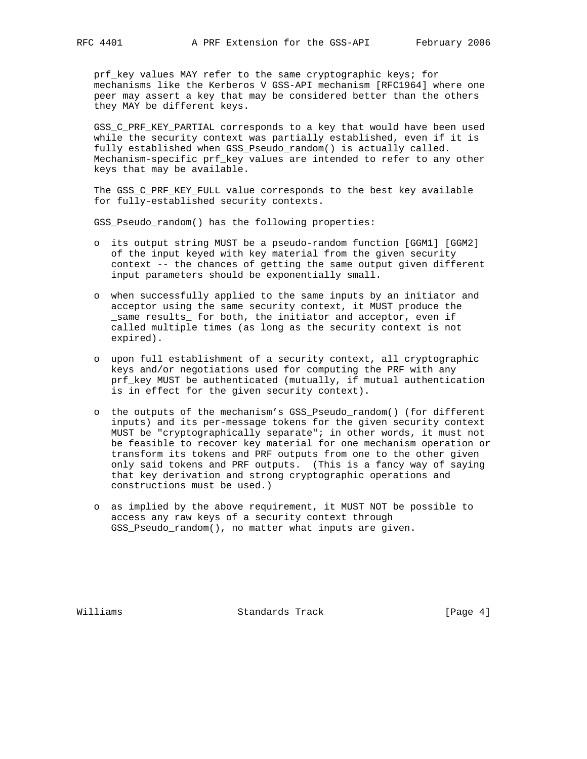prf\_key values MAY refer to the same cryptographic keys; for mechanisms like the Kerberos V GSS-API mechanism [RFC1964] where one peer may assert a key that may be considered better than the others they MAY be different keys.

 GSS\_C\_PRF\_KEY\_PARTIAL corresponds to a key that would have been used while the security context was partially established, even if it is fully established when GSS\_Pseudo\_random() is actually called. Mechanism-specific prf\_key values are intended to refer to any other keys that may be available.

 The GSS\_C\_PRF\_KEY\_FULL value corresponds to the best key available for fully-established security contexts.

GSS\_Pseudo\_random() has the following properties:

- o its output string MUST be a pseudo-random function [GGM1] [GGM2] of the input keyed with key material from the given security context -- the chances of getting the same output given different input parameters should be exponentially small.
- o when successfully applied to the same inputs by an initiator and acceptor using the same security context, it MUST produce the \_same results\_ for both, the initiator and acceptor, even if called multiple times (as long as the security context is not expired).
- o upon full establishment of a security context, all cryptographic keys and/or negotiations used for computing the PRF with any prf\_key MUST be authenticated (mutually, if mutual authentication is in effect for the given security context).
- o the outputs of the mechanism's GSS\_Pseudo\_random() (for different inputs) and its per-message tokens for the given security context MUST be "cryptographically separate"; in other words, it must not be feasible to recover key material for one mechanism operation or transform its tokens and PRF outputs from one to the other given only said tokens and PRF outputs. (This is a fancy way of saying that key derivation and strong cryptographic operations and constructions must be used.)
- o as implied by the above requirement, it MUST NOT be possible to access any raw keys of a security context through GSS\_Pseudo\_random(), no matter what inputs are given.

Williams **Standards Track** [Page 4]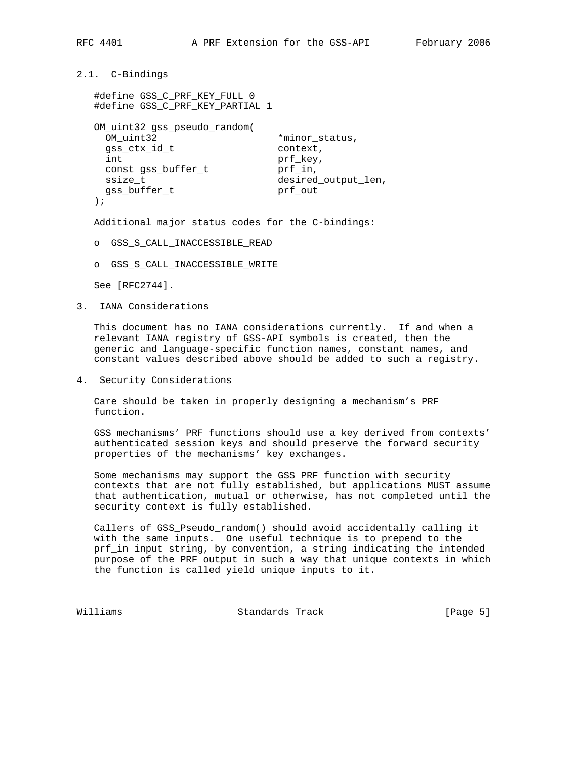```
2.1. C-Bindings
```

```
 #define GSS_C_PRF_KEY_FULL 0
  #define GSS_C_PRF_KEY_PARTIAL 1
  OM_uint32 gss_pseudo_random(
  OM_uint32 *minor_status,
  gss_ctx_id_t context,
int prf_key,
const gss_buffer_t    prf_in,
ssize_t desired_output_len,
 gss_buffer_t prf_out
  );
```
Additional major status codes for the C-bindings:

- o GSS\_S\_CALL\_INACCESSIBLE\_READ
- o GSS\_S\_CALL\_INACCESSIBLE\_WRITE

See [RFC2744].

3. IANA Considerations

 This document has no IANA considerations currently. If and when a relevant IANA registry of GSS-API symbols is created, then the generic and language-specific function names, constant names, and constant values described above should be added to such a registry.

4. Security Considerations

 Care should be taken in properly designing a mechanism's PRF function.

 GSS mechanisms' PRF functions should use a key derived from contexts' authenticated session keys and should preserve the forward security properties of the mechanisms' key exchanges.

 Some mechanisms may support the GSS PRF function with security contexts that are not fully established, but applications MUST assume that authentication, mutual or otherwise, has not completed until the security context is fully established.

 Callers of GSS\_Pseudo\_random() should avoid accidentally calling it with the same inputs. One useful technique is to prepend to the prf\_in input string, by convention, a string indicating the intended purpose of the PRF output in such a way that unique contexts in which the function is called yield unique inputs to it.

Williams **Standards Track** [Page 5]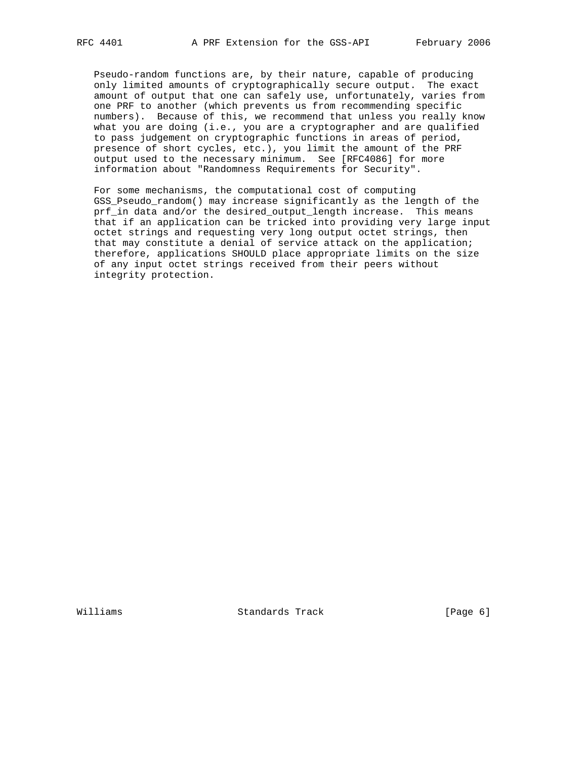Pseudo-random functions are, by their nature, capable of producing only limited amounts of cryptographically secure output. The exact amount of output that one can safely use, unfortunately, varies from one PRF to another (which prevents us from recommending specific numbers). Because of this, we recommend that unless you really know what you are doing (i.e., you are a cryptographer and are qualified to pass judgement on cryptographic functions in areas of period, presence of short cycles, etc.), you limit the amount of the PRF output used to the necessary minimum. See [RFC4086] for more information about "Randomness Requirements for Security".

 For some mechanisms, the computational cost of computing GSS Pseudo random() may increase significantly as the length of the prf\_in data and/or the desired\_output\_length increase. This means that if an application can be tricked into providing very large input octet strings and requesting very long output octet strings, then that may constitute a denial of service attack on the application; therefore, applications SHOULD place appropriate limits on the size of any input octet strings received from their peers without integrity protection.

Williams Standards Track [Page 6]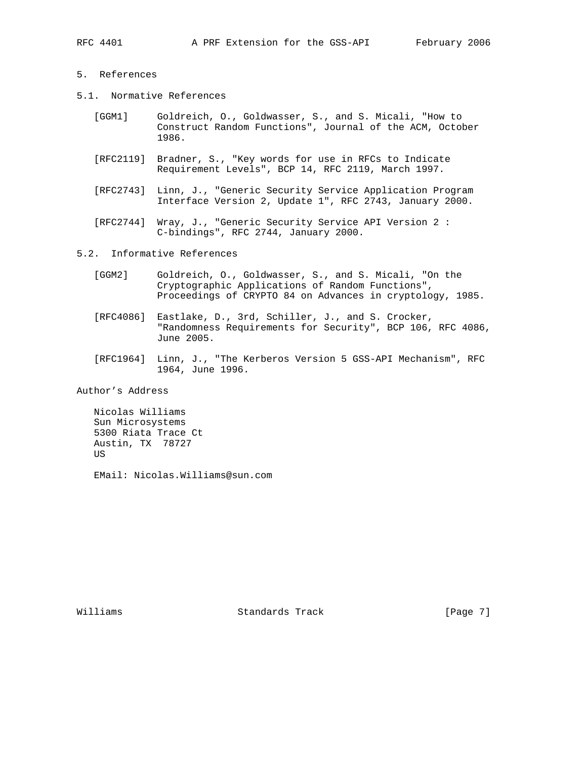## 5. References

- 5.1. Normative References
	- [GGM1] Goldreich, O., Goldwasser, S., and S. Micali, "How to Construct Random Functions", Journal of the ACM, October 1986.
	- [RFC2119] Bradner, S., "Key words for use in RFCs to Indicate Requirement Levels", BCP 14, RFC 2119, March 1997.
	- [RFC2743] Linn, J., "Generic Security Service Application Program Interface Version 2, Update 1", RFC 2743, January 2000.
	- [RFC2744] Wray, J., "Generic Security Service API Version 2 : C-bindings", RFC 2744, January 2000.
- 5.2. Informative References
	- [GGM2] Goldreich, O., Goldwasser, S., and S. Micali, "On the Cryptographic Applications of Random Functions", Proceedings of CRYPTO 84 on Advances in cryptology, 1985.
	- [RFC4086] Eastlake, D., 3rd, Schiller, J., and S. Crocker, "Randomness Requirements for Security", BCP 106, RFC 4086, June 2005.
	- [RFC1964] Linn, J., "The Kerberos Version 5 GSS-API Mechanism", RFC 1964, June 1996.

Author's Address

 Nicolas Williams Sun Microsystems 5300 Riata Trace Ct Austin, TX 78727 US

EMail: Nicolas.Williams@sun.com

Williams **Standards Track** [Page 7]